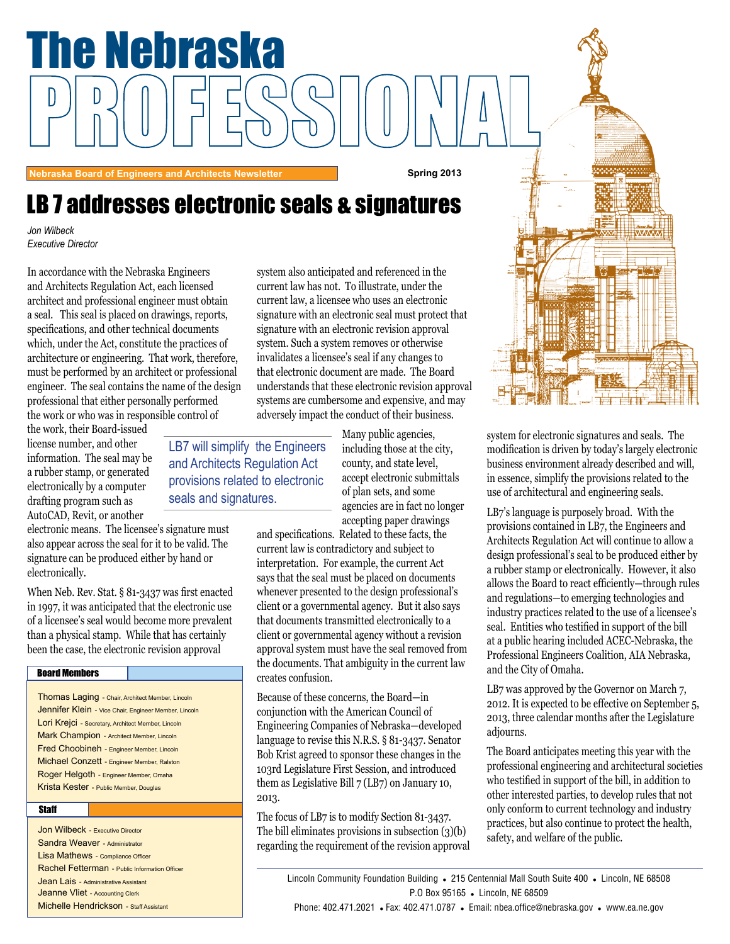

system for electronic signatures and seals. The modification is driven by today's largely electronic business environment already described and will, in essence, simplify the provisions related to the use of architectural and engineering seals.

LB7's language is purposely broad. With the provisions contained in LB7, the Engineers and Architects Regulation Act will continue to allow a design professional's seal to be produced either by a rubber stamp or electronically. However, it also allows the Board to react efficiently—through rules and regulations—to emerging technologies and industry practices related to the use of a licensee's seal. Entities who testified in support of the bill at a public hearing included ACEC-Nebraska, the Professional Engineers Coalition, AIA Nebraska, and the City of Omaha.

LB7 was approved by the Governor on March 7, 2012. It is expected to be effective on September 5, 2013, three calendar months after the Legislature adjourns.

The Board anticipates meeting this year with the professional engineering and architectural societies who testified in support of the bill, in addition to other interested parties, to develop rules that not only conform to current technology and industry practices, but also continue to protect the health, safety, and welfare of the public.

Lincoln Community Foundation Building . 215 Centennial Mall South Suite 400 . Lincoln, NE 68508 P.O Box 95165 . Lincoln, NE 68509

**Nebraska Board of Engineers and Architects Newsletter <b>Spring 2013** Spring 2013

The Nebraska

# LB 7 addresses electronic seals & signatures

*Jon Wilbeck Executive Director*

th the Nebraska Enginee<br>Seulation Act. each licen and Architects Regulation Act, each heensed<br>architect and professional engineer must obtain In accordance with the Nebraska Engineers and Architects Regulation Act, each licensed a seal. This seal is placed on drawings, reports, specifications, and other technical documents which, under the Act, constitute the practices of architecture or engineering. That work, therefore, must be performed by an architect or professional engineer. The seal contains the name of the design professional that either personally performed the work or who was in responsible control of

the work, their Board-issued license number, and other information. The seal may be a rubber stamp, or generated electronically by a computer drafting program such as AutoCAD, Revit, or another

electronic means. The licensee's signature must also appear across the seal for it to be valid. The signature can be produced either by hand or electronically.

When Neb. Rev. Stat. § 81-3437 was first enacted in 1997, it was anticipated that the electronic use of a licensee's seal would become more prevalent than a physical stamp. While that has certainly been the case, the electronic revision approval

### Board Members

Thomas Laging - Chair, Architect Member, Lincoln Jennifer Klein - Vice Chair, Engineer Member, Lincoln Lori Krejci - Secretary, Architect Member, Lincoln Mark Champion - Architect Member, Lincoln Fred Choobineh - Engineer Member, Lincoln Michael Conzett - Engineer Member, Ralston Roger Helgoth - Engineer Member, Omaha Krista Kester - Public Member, Douglas

### **Staff**

Jon Wilbeck - Executive Director Sandra Weaver - Administrator Lisa Mathews - Compliance Officer Rachel Fetterman - Public Information Officer Jean Lais - Administrative Assistant Jeanne Vliet - Accounting Clerk Michelle Hendrickson - Staff Assistant

ed and referenced in the<br>To illustrate, under the current law, a licensee who uses an electronic system also anticipated and referenced in the current law has not. To illustrate, under the signature with an electronic seal must protect that signature with an electronic revision approval system. Such a system removes or otherwise invalidates a licensee's seal if any changes to that electronic document are made. The Board understands that these electronic revision approval systems are cumbersome and expensive, and may adversely impact the conduct of their business.

LB7 will simplify the Engineers and Architects Regulation Act provisions related to electronic seals and signatures.

Many public agencies, including those at the city, county, and state level, accept electronic submittals of plan sets, and some agencies are in fact no longer accepting paper drawings

and specifications. Related to these facts, the current law is contradictory and subject to interpretation. For example, the current Act says that the seal must be placed on documents whenever presented to the design professional's client or a governmental agency. But it also says that documents transmitted electronically to a client or governmental agency without a revision approval system must have the seal removed from the documents. That ambiguity in the current law creates confusion.

Because of these concerns, the Board—in conjunction with the American Council of Engineering Companies of Nebraska—developed language to revise this N.R.S. § 81-3437. Senator Bob Krist agreed to sponsor these changes in the 103rd Legislature First Session, and introduced them as Legislative Bill 7 (LB7) on January 10, 2013.

The focus of LB7 is to modify Section 81-3437. The bill eliminates provisions in subsection (3)(b) regarding the requirement of the revision approval

Phone:  $402.471.2021$  · Fax:  $402.471.0787$  · Email: nbea.office@nebraska.gov · www.ea.ne.gov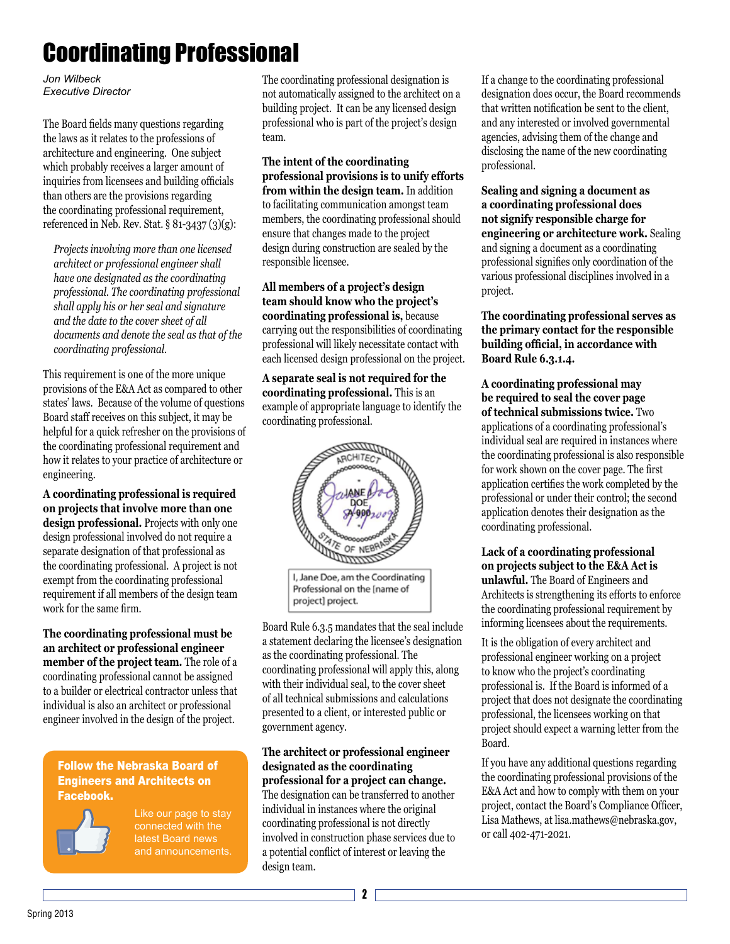# Coordinating Professional

*Jon Wilbeck Executive Director*

The Board fields many questions regarding the laws as it relates to the professions of architecture and engineering. One subject which probably receives a larger amount of inquiries from licensees and building officials than others are the provisions regarding the coordinating professional requirement, referenced in Neb. Rev. Stat. § 81-3437 (3)(g):

*Projects involving more than one licensed architect or professional engineer shall have one designated as the coordinating professional. The coordinating professional shall apply his or her seal and signature and the date to the cover sheet of all documents and denote the seal as that of the coordinating professional.*

This requirement is one of the more unique provisions of the E&A Act as compared to other states' laws. Because of the volume of questions Board staff receives on this subject, it may be helpful for a quick refresher on the provisions of the coordinating professional requirement and how it relates to your practice of architecture or engineering.

**A coordinating professional is required on projects that involve more than one design professional.** Projects with only one design professional involved do not require a separate designation of that professional as the coordinating professional. A project is not exempt from the coordinating professional requirement if all members of the design team work for the same firm.

**The coordinating professional must be an architect or professional engineer member of the project team.** The role of a coordinating professional cannot be assigned to a builder or electrical contractor unless that individual is also an architect or professional engineer involved in the design of the project.

### Follow the Nebraska Board of Engineers and Architects on Facebook.



Like our page to stay latest Board news and announcements.

The coordinating professional designation is not automatically assigned to the architect on a building project. It can be any licensed design professional who is part of the project's design team.

**The intent of the coordinating professional provisions is to unify efforts from within the design team.** In addition to facilitating communication amongst team members, the coordinating professional should ensure that changes made to the project design during construction are sealed by the responsible licensee.

**All members of a project's design team should know who the project's coordinating professional is,** because carrying out the responsibilities of coordinating professional will likely necessitate contact with each licensed design professional on the project.

**A separate seal is not required for the coordinating professional.** This is an example of appropriate language to identify the coordinating professional.



Board Rule 6.3.5 mandates that the seal include a statement declaring the licensee's designation as the coordinating professional. The coordinating professional will apply this, along with their individual seal, to the cover sheet of all technical submissions and calculations presented to a client, or interested public or government agency.

### **The architect or professional engineer designated as the coordinating professional for a project can change.**  The designation can be transferred to another individual in instances where the original coordinating professional is not directly involved in construction phase services due to a potential conflict of interest or leaving the

If a change to the coordinating professional designation does occur, the Board recommends that written notification be sent to the client, and any interested or involved governmental agencies, advising them of the change and disclosing the name of the new coordinating professional.

**Sealing and signing a document as a coordinating professional does not signify responsible charge for engineering or architecture work.** Sealing and signing a document as a coordinating professional signifies only coordination of the various professional disciplines involved in a project.

**The coordinating professional serves as the primary contact for the responsible building official, in accordance with Board Rule 6.3.1.4.**

**A coordinating professional may be required to seal the cover page of technical submissions twice.** Two applications of a coordinating professional's individual seal are required in instances where the coordinating professional is also responsible for work shown on the cover page. The first application certifies the work completed by the professional or under their control; the second application denotes their designation as the coordinating professional.

**Lack of a coordinating professional on projects subject to the E&A Act is unlawful.** The Board of Engineers and Architects is strengthening its efforts to enforce the coordinating professional requirement by informing licensees about the requirements.

It is the obligation of every architect and professional engineer working on a project to know who the project's coordinating professional is. If the Board is informed of a project that does not designate the coordinating professional, the licensees working on that project should expect a warning letter from the Board.

If you have any additional questions regarding the coordinating professional provisions of the E&A Act and how to comply with them on your project, contact the Board's Compliance Officer, Lisa Mathews, at lisa.mathews@nebraska.gov, or call 402-471-2021.

design team.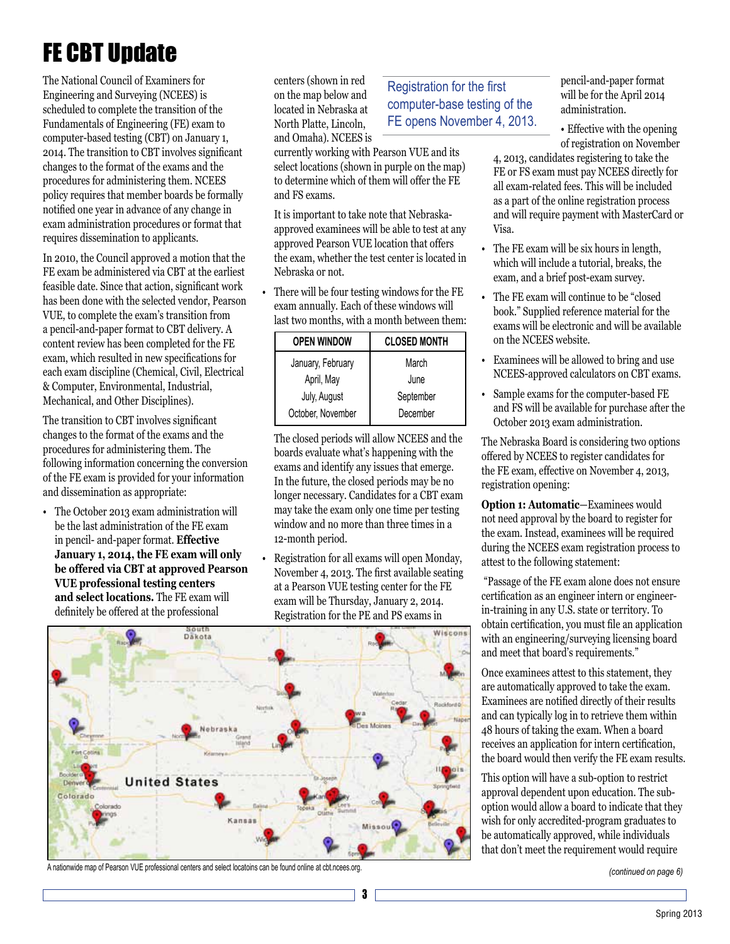# FE CBT Update

The National Council of Examiners for Engineering and Surveying (NCEES) is scheduled to complete the transition of the Fundamentals of Engineering (FE) exam to computer-based testing (CBT) on January 1, 2014. The transition to CBT involves significant changes to the format of the exams and the procedures for administering them. NCEES policy requires that member boards be formally notified one year in advance of any change in exam administration procedures or format that requires dissemination to applicants.

In 2010, the Council approved a motion that the FE exam be administered via CBT at the earliest feasible date. Since that action, significant work has been done with the selected vendor, Pearson VUE, to complete the exam's transition from a pencil-and-paper format to CBT delivery. A content review has been completed for the FE exam, which resulted in new specifications for each exam discipline (Chemical, Civil, Electrical & Computer, Environmental, Industrial, Mechanical, and Other Disciplines).

The transition to CBT involves significant changes to the format of the exams and the procedures for administering them. The following information concerning the conversion of the FE exam is provided for your information and dissemination as appropriate:

• The October 2013 exam administration will be the last administration of the FE exam in pencil- and-paper format. **Effective January 1, 2014, the FE exam will only be offered via CBT at approved Pearson VUE professional testing centers and select locations.** The FE exam will definitely be offered at the professional

centers (shown in red on the map below and located in Nebraska at North Platte, Lincoln, and Omaha). NCEES is

currently working with Pearson VUE and its select locations (shown in purple on the map) to determine which of them will offer the FE and FS exams.

It is important to take note that Nebraskaapproved examinees will be able to test at any approved Pearson VUE location that offers the exam, whether the test center is located in Nebraska or not.

• There will be four testing windows for the FE exam annually. Each of these windows will last two months, with a month between them:

| <b>OPEN WINDOW</b> | <b>CLOSED MONTH</b> |
|--------------------|---------------------|
| January, February  | March               |
| April, May         | June                |
| July, August       | September           |
| October, November  | December            |

The closed periods will allow NCEES and the boards evaluate what's happening with the exams and identify any issues that emerge. In the future, the closed periods may be no longer necessary. Candidates for a CBT exam may take the exam only one time per testing window and no more than three times in a 12-month period.

• Registration for all exams will open Monday, November 4, 2013. The first available seating at a Pearson VUE testing center for the FE exam will be Thursday, January 2, 2014. Registration for the PE and PS exams in



A nationwide map of Pearson VUE professional centers and select locatoins can be found online at cbt.ncees.org.

### Registration for the first computer-base testing of the FE opens November 4, 2013.

pencil-and-paper format will be for the April 2014 administration.

• Effective with the opening of registration on November

4, 2013, candidates registering to take the FE or FS exam must pay NCEES directly for all exam-related fees. This will be included as a part of the online registration process and will require payment with MasterCard or Visa.

- The FE exam will be six hours in length, which will include a tutorial, breaks, the exam, and a brief post-exam survey.
- The FE exam will continue to be "closed book." Supplied reference material for the exams will be electronic and will be available on the NCEES website.
- Examinees will be allowed to bring and use NCEES-approved calculators on CBT exams.
- Sample exams for the computer-based FE and FS will be available for purchase after the October 2013 exam administration.

The Nebraska Board is considering two options offered by NCEES to register candidates for the FE exam, effective on November 4, 2013, registration opening:

**Option 1: Automatic**—Examinees would not need approval by the board to register for the exam. Instead, examinees will be required during the NCEES exam registration process to attest to the following statement:

 "Passage of the FE exam alone does not ensure certification as an engineer intern or engineerin-training in any U.S. state or territory. To obtain certification, you must file an application with an engineering/surveying licensing board and meet that board's requirements."

Once examinees attest to this statement, they are automatically approved to take the exam. Examinees are notified directly of their results and can typically log in to retrieve them within 48 hours of taking the exam. When a board receives an application for intern certification, the board would then verify the FE exam results.

This option will have a sub-option to restrict approval dependent upon education. The suboption would allow a board to indicate that they wish for only accredited-program graduates to be automatically approved, while individuals that don't meet the requirement would require

*(continued on page 6)*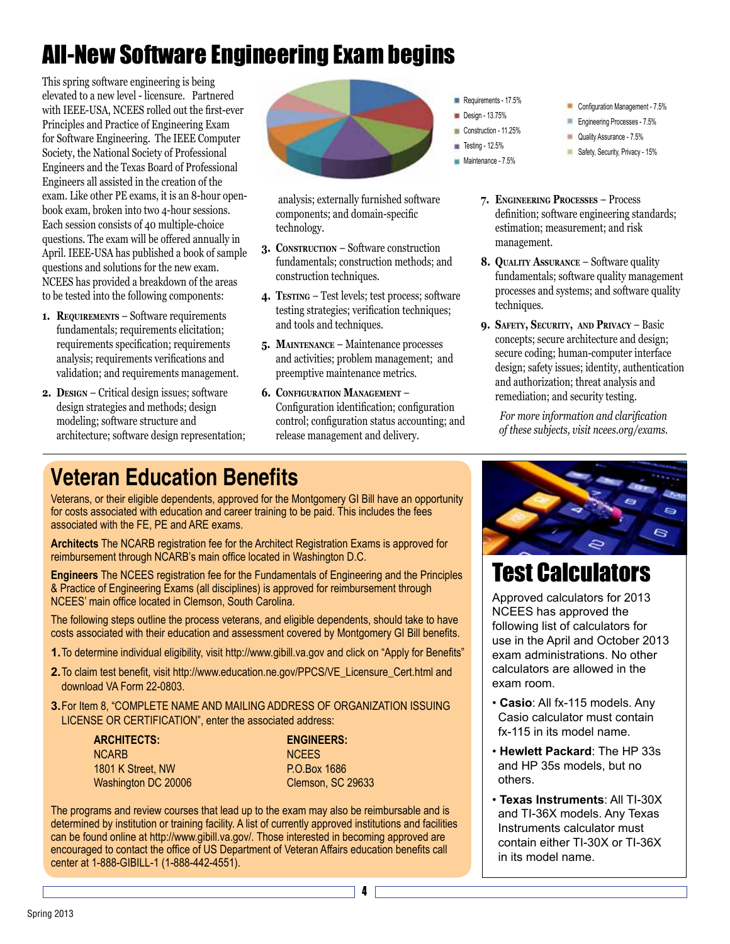# All-New Software Engineering Exam begins

This spring software engineering is being elevated to a new level - licensure. Partnered with IEEE-USA, NCEES rolled out the first-ever Principles and Practice of Engineering Exam for Software Engineering. The IEEE Computer Society, the National Society of Professional Engineers and the Texas Board of Professional Engineers all assisted in the creation of the exam. Like other PE exams, it is an 8-hour openbook exam, broken into two 4-hour sessions. Each session consists of 40 multiple-choice questions. The exam will be offered annually in April. IEEE-USA has published a book of sample questions and solutions for the new exam. NCEES has provided a breakdown of the areas to be tested into the following components:

- **1. Requirements** Software requirements fundamentals; requirements elicitation; requirements specification; requirements analysis; requirements verifications and validation; and requirements management.
- **2.** DESIGN Critical design issues; software design strategies and methods; design modeling; software structure and architecture; software design representation;



 analysis; externally furnished software components; and domain-specific technology.

- **3. Construction** Software construction fundamentals; construction methods; and construction techniques.
- **4. Testing** Test levels; test process; software testing strategies; verification techniques; and tools and techniques.
- **5. Maintenance** Maintenance processes and activities; problem management; and preemptive maintenance metrics.
- **6. CONFIGURATION MANAGEMENT -**Configuration identification; configuration control; configuration status accounting; and release management and delivery.
- Requirements 17.5%
- Design 13.75%
- Construction 11.25%
- $\blacksquare$  Testing 12.5%
- Maintenance 7.5%
- Configuration Management 7.5%
- Engineering Processes 7.5%
- Quality Assurance 7.5%
- Safety, Security, Privacy 15%
- **7. Engineering Processes** Process definition; software engineering standards; estimation; measurement; and risk management.
- **8.** QUALITY ASSURANCE Software quality fundamentals; software quality management processes and systems; and software quality techniques.
- **9. Safety, Security, and Privacy** Basic concepts; secure architecture and design; secure coding; human-computer interface design; safety issues; identity, authentication and authorization; threat analysis and remediation; and security testing.

*For more information and clarification of these subjects, visit ncees.org/exams.* 

# **Veteran Education Benefits**

Veterans, or their eligible dependents, approved for the Montgomery GI Bill have an opportunity for costs associated with education and career training to be paid. This includes the fees associated with the FE, PE and ARE exams. 

**Architects** The NCARB registration fee for the Architect Registration Exams is approved for reimbursement through NCARB's main office located in Washington D.C.

**Engineers** The NCEES registration fee for the Fundamentals of Engineering and the Principles & Practice of Engineering Exams (all disciplines) is approved for reimbursement through NCEES' main office located in Clemson, South Carolina.

The following steps outline the process veterans, and eligible dependents, should take to have costs associated with their education and assessment covered by Montgomery GI Bill benefits.

- **1.**To determine individual eligibility, visit http://www.gibill.va.gov and click on "Apply for Benefits"
- **2.**To claim test benefit, visit http://www.education.ne.gov/PPCS/VE\_Licensure\_Cert.html and download VA Form 22-0803.
- **3.** For Item 8, "COMPLETE NAME AND MAILING ADDRESS OF ORGANIZATION ISSUING LICENSE OR CERTIFICATION", enter the associated address:

| ARCHITECTS:         |  |
|---------------------|--|
| NCARB               |  |
| 1801 K Street, NW   |  |
| Washington DC 20006 |  |

**ARCHITECTS: ENGINEERS: NCEES** P.O.Box 1686 Clemson, SC 29633

The programs and review courses that lead up to the exam may also be reimbursable and is determined by institution or training facility. A list of currently approved institutions and facilities can be found online at http://www.gibill.va.gov/. Those interested in becoming approved are encouraged to contact the office of US Department of Veteran Affairs education benefits call center at 1-888-GIBILL-1 (1-888-442-4551).



# Test Calculators

Approved calculators for 2013 NCEES has approved the following list of calculators for use in the April and October 2013 exam administrations. No other calculators are allowed in the exam room.

- **Casio**: All fx-115 models. Any Casio calculator must contain fx-115 in its model name.
- **Hewlett Packard**: The HP 33s and HP 35s models, but no others.
- **Texas Instruments**: All TI-30X and TI-36X models. Any Texas Instruments calculator must contain either TI-30X or TI-36X in its model name.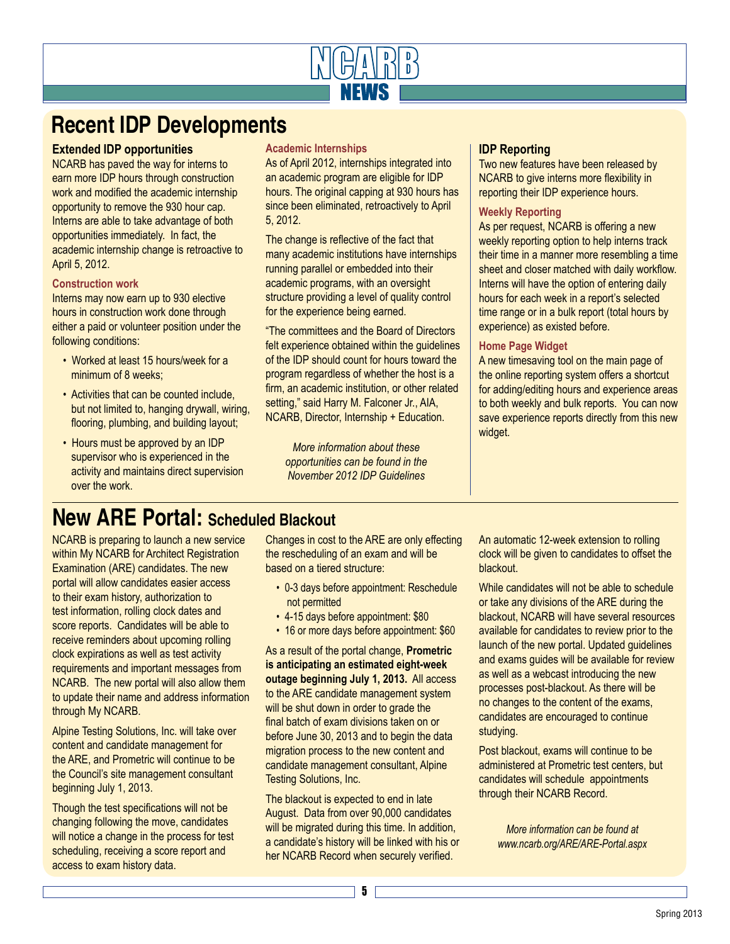

# **Recent IDP Developments**

### **Extended IDP opportunities**

NCARB has paved the way for interns to earn more IDP hours through construction work and modified the academic internship opportunity to remove the 930 hour cap. Interns are able to take advantage of both opportunities immediately. In fact, the academic internship change is retroactive to April 5, 2012.

### **Construction work**

Interns may now earn up to 930 elective hours in construction work done through either a paid or volunteer position under the following conditions:

- Worked at least 15 hours/week for a minimum of 8 weeks;
- Activities that can be counted include, but not limited to, hanging drywall, wiring, flooring, plumbing, and building layout;
- Hours must be approved by an IDP supervisor who is experienced in the activity and maintains direct supervision over the work.

### **Academic Internships**

As of April 2012, internships integrated into an academic program are eligible for IDP hours. The original capping at 930 hours has since been eliminated, retroactively to April 5, 2012.

The change is reflective of the fact that many academic institutions have internships running parallel or embedded into their academic programs, with an oversight structure providing a level of quality control for the experience being earned.

"The committees and the Board of Directors felt experience obtained within the guidelines of the IDP should count for hours toward the program regardless of whether the host is a firm, an academic institution, or other related setting," said Harry M. Falconer Jr., AIA, NCARB, Director, Internship + Education.

*More information about these opportunities can be found in the November 2012 IDP Guidelines*

### **IDP Reporting**

Two new features have been released by NCARB to give interns more flexibility in reporting their IDP experience hours.

### **Weekly Reporting**

As per request, NCARB is offering a new weekly reporting option to help interns track their time in a manner more resembling a time sheet and closer matched with daily workflow. Interns will have the option of entering daily hours for each week in a report's selected time range or in a bulk report (total hours by experience) as existed before.

### **Home Page Widget**

A new timesaving tool on the main page of the online reporting system offers a shortcut for adding/editing hours and experience areas to both weekly and bulk reports. You can now save experience reports directly from this new widget.

# **New ARE Portal: Scheduled Blackout**

NCARB is preparing to launch a new service within My NCARB for Architect Registration Examination (ARE) candidates. The new portal will allow candidates easier access to their exam history, authorization to test information, rolling clock dates and score reports. Candidates will be able to receive reminders about upcoming rolling clock expirations as well as test activity requirements and important messages from NCARB. The new portal will also allow them to update their name and address information through My NCARB.

Alpine Testing Solutions, Inc. will take over content and candidate management for the ARE, and Prometric will continue to be the Council's site management consultant beginning July 1, 2013.

Though the test specifications will not be changing following the move, candidates will notice a change in the process for test scheduling, receiving a score report and access to exam history data.

Changes in cost to the ARE are only effecting the rescheduling of an exam and will be based on a tiered structure:

- 0-3 days before appointment: Reschedule not permitted
- 4-15 days before appointment: \$80
- 16 or more days before appointment: \$60

As a result of the portal change, **Prometric is anticipating an estimated eight-week outage beginning July 1, 2013.** All access to the ARE candidate management system will be shut down in order to grade the final batch of exam divisions taken on or before June 30, 2013 and to begin the data migration process to the new content and candidate management consultant, Alpine Testing Solutions, Inc.

The blackout is expected to end in late August. Data from over 90,000 candidates will be migrated during this time. In addition, a candidate's history will be linked with his or her NCARB Record when securely verified.

An automatic 12-week extension to rolling clock will be given to candidates to offset the blackout.

While candidates will not be able to schedule or take any divisions of the ARE during the blackout, NCARB will have several resources available for candidates to review prior to the launch of the new portal. Updated guidelines and exams guides will be available for review as well as a webcast introducing the new processes post-blackout. As there will be no changes to the content of the exams, candidates are encouraged to continue studying.

Post blackout, exams will continue to be administered at Prometric test centers, but candidates will schedule appointments through their NCARB Record.

*More information can be found at www.ncarb.org/ARE/ARE-Portal.aspx*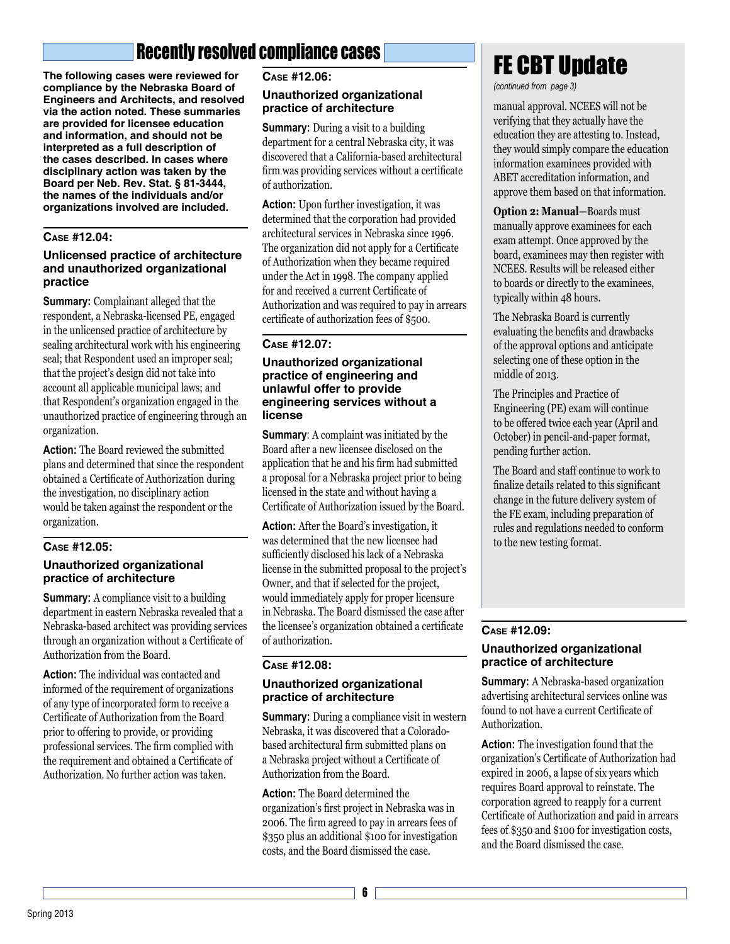# Recently resolved compliance cases

**The following cases were reviewed for compliance by the Nebraska Board of Engineers and Architects, and resolved via the action noted. These summaries are provided for licensee education and information, and should not be interpreted as a full description of the cases described. In cases where disciplinary action was taken by the Board per Neb. Rev. Stat. § 81-3444, the names of the individuals and/or organizations involved are included.**

### **Case #12.04:**

### **Unlicensed practice of architecture and unauthorized organizational practice**

**Summary:** Complainant alleged that the respondent, a Nebraska-licensed PE, engaged in the unlicensed practice of architecture by sealing architectural work with his engineering seal; that Respondent used an improper seal; that the project's design did not take into account all applicable municipal laws; and that Respondent's organization engaged in the unauthorized practice of engineering through an organization.

**Action:** The Board reviewed the submitted plans and determined that since the respondent obtained a Certificate of Authorization during the investigation, no disciplinary action would be taken against the respondent or the organization.

### **Case #12.05:**

### **Unauthorized organizational practice of architecture**

**Summary:** A compliance visit to a building department in eastern Nebraska revealed that a Nebraska-based architect was providing services through an organization without a Certificate of Authorization from the Board.

**Action:** The individual was contacted and informed of the requirement of organizations of any type of incorporated form to receive a Certificate of Authorization from the Board prior to offering to provide, or providing professional services. The firm complied with the requirement and obtained a Certificate of Authorization. No further action was taken.

### **Case #12.06:**

### **Unauthorized organizational practice of architecture**

**Summary:** During a visit to a building department for a central Nebraska city, it was discovered that a California-based architectural firm was providing services without a certificate of authorization.

**Action:** Upon further investigation, it was determined that the corporation had provided architectural services in Nebraska since 1996. The organization did not apply for a Certificate of Authorization when they became required under the Act in 1998. The company applied for and received a current Certificate of Authorization and was required to pay in arrears certificate of authorization fees of \$500.

### **Case #12.07:**

### **Unauthorized organizational practice of engineering and unlawful offer to provide engineering services without a license**

**Summary:** A complaint was initiated by the Board after a new licensee disclosed on the application that he and his firm had submitted a proposal for a Nebraska project prior to being licensed in the state and without having a Certificate of Authorization issued by the Board.

**Action:** After the Board's investigation, it was determined that the new licensee had sufficiently disclosed his lack of a Nebraska license in the submitted proposal to the project's Owner, and that if selected for the project, would immediately apply for proper licensure in Nebraska. The Board dismissed the case after the licensee's organization obtained a certificate of authorization.

### **Case #12.08:**

### **Unauthorized organizational practice of architecture**

**Summary:** During a compliance visit in western Nebraska, it was discovered that a Coloradobased architectural firm submitted plans on a Nebraska project without a Certificate of Authorization from the Board.

**Action:** The Board determined the organization's first project in Nebraska was in 2006. The firm agreed to pay in arrears fees of \$350 plus an additional \$100 for investigation costs, and the Board dismissed the case.

# **FE CBT Update**

*(continued from page 3)*

manual approval. NCEES will not be verifying that they actually have the education they are attesting to. Instead, they would simply compare the education information examinees provided with ABET accreditation information, and approve them based on that information.

**Option 2: Manual**—Boards must manually approve examinees for each exam attempt. Once approved by the board, examinees may then register with NCEES. Results will be released either to boards or directly to the examinees, typically within 48 hours.

The Nebraska Board is currently evaluating the benefits and drawbacks of the approval options and anticipate selecting one of these option in the middle of 2013.

The Principles and Practice of Engineering (PE) exam will continue to be offered twice each year (April and October) in pencil-and-paper format, pending further action.

The Board and staff continue to work to finalize details related to this significant change in the future delivery system of the FE exam, including preparation of rules and regulations needed to conform to the new testing format.

### **Case #12.09:**

### **Unauthorized organizational practice of architecture**

**Summary:** A Nebraska-based organization advertising architectural services online was found to not have a current Certificate of Authorization.

**Action:** The investigation found that the organization's Certificate of Authorization had expired in 2006, a lapse of six years which requires Board approval to reinstate. The corporation agreed to reapply for a current Certificate of Authorization and paid in arrears fees of \$350 and \$100 for investigation costs, and the Board dismissed the case.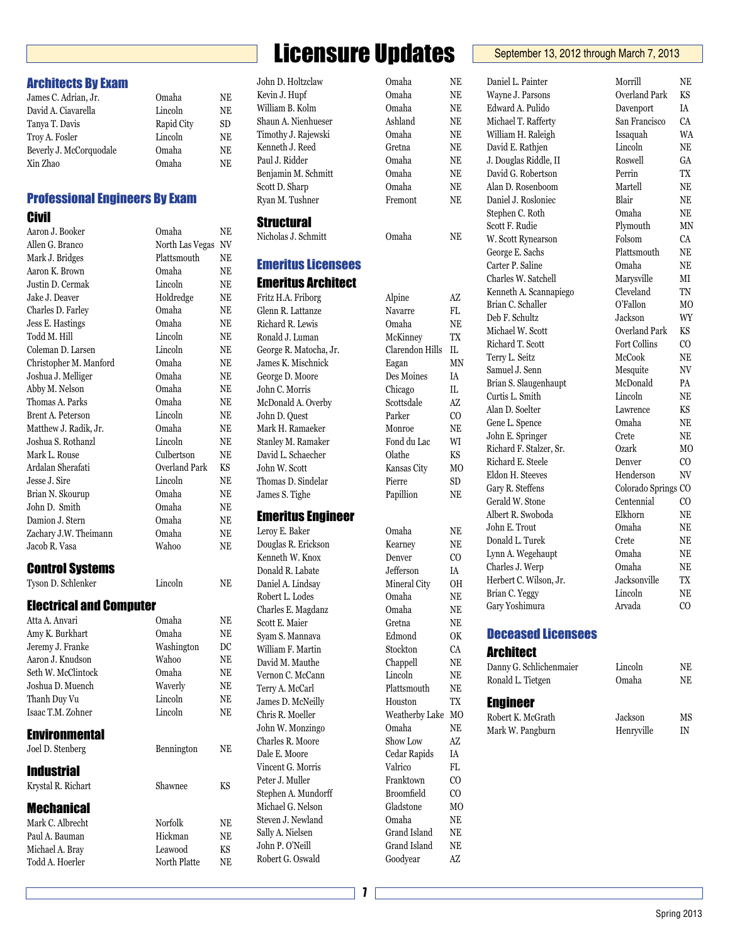# Licensure Updates **September 13, 2012 through March 7, 2013**

Architects By Exam

**Civil** 

Control Systems

**Environmental** 

Industrial

Mechanical

Electrical and Computer

Tyson D. Schlenker Lincoln NE

Atta A. Anvari Omaha NE Amy K. Burkhart Omaha NE Jeremy J. Franke Washington DC Aaron J. Knudson Wahoo NE Seth W. McClintock Omaha NE Joshua D. Muench Waverly NE Thanh Duy Vu Lincoln NE Isaac T.M. Zohner Lincoln NE

Joel D. Stenberg Bennington NE

Krystal R. Richart Shawnee KS

Mark C. Albrecht Norfolk NE Paul A. Bauman Hickman NE Michael A. Bray Leawood KS Todd A. Hoerler North Platte NE

James C. Adrian, Jr. Omaha NE David A. Ciavarella Lincoln NE Tanya T. Davis Rapid City SD Troy A. Fosler Lincoln NE Beverly J. McCorquodale Omaha NE Xin Zhao Omaha NE

Professional Engineers By Exam

Aaron J. Booker Omaha NE Allen G. Branco North Las Vegas NV Mark J. Bridges Plattsmouth NE Aaron K. Brown Omaha NE Justin D. Cermak Lincoln NE Jake J. Deaver Holdredge NE Charles D. Farley Omaha NE Jess E. Hastings Omaha NE Todd M. Hill Lincoln NE Coleman D. Larsen Lincoln NE Christopher M. Manford Omaha NE Joshua J. Melliger Omaha NE Abby M. Nelson Omaha NE Thomas A. Parks Omaha NE Brent A. Peterson Lincoln NE Matthew J. Radik, Jr. Omaha NE Joshua S. Rothanzl Lincoln NE Mark L. Rouse Culbertson NE Ardalan Sherafati Overland Park KS Jesse J. Sire Lincoln NE Brian N. Skourup Omaha NE John D. Smith Omaha NE Damion J. Stern Omaha NE Zachary J.W. Theimann Omaha NE Jacob R. Vasa Wahoo NE

| Timothy J. Rajewski                 | Omaha                 | NE             |
|-------------------------------------|-----------------------|----------------|
| Kenneth J. Reed                     | Gretna                | NE             |
| Paul J. Ridder                      | Omaha                 | NE             |
| Benjamin M. Schmitt                 | Omaha                 | NE             |
| Scott D. Sharp                      | Omaha                 | NE             |
| Ryan M. Tushner                     | Fremont               | NE             |
| <b>Structural</b>                   |                       |                |
| Nicholas J. Schmitt                 | Omaha                 | NE             |
| <b>Emeritus Licensees</b>           |                       |                |
| <b>Emeritus Architect</b>           |                       |                |
| Fritz H.A. Friborg                  | Alpine                | AZ             |
| Glenn R. Lattanze                   | Navarre               | FL             |
| Richard R. Lewis                    | Omaha                 | NE             |
| Ronald J. Luman                     | McKinney              | TX             |
| George R. Matocha, Jr.              | Clarendon Hills       | IL             |
| James K. Mischnick                  | Eagan                 | <b>MN</b>      |
| George D. Moore                     | Des Moines            | IA             |
| John C. Morris                      | Chicago               | IL.            |
| McDonald A. Overby                  | Scottsdale            | AZ             |
| John D. Quest                       | Parker                | CO.            |
| Mark H. Ramaeker                    | Monroe                | NE             |
| Stanley M. Ramaker                  | Fond du Lac           | WI             |
| David L. Schaecher                  | Olathe                | KS             |
| John W. Scott                       | Kansas City           | MO             |
| Thomas D. Sindelar                  | Pierre                | SD             |
| James S. Tighe                      | Papillion             | NE             |
| <b>Emeritus Engineer</b>            |                       |                |
| Leroy E. Baker                      | Omaha                 | NE             |
| Douglas R. Erickson                 | Kearney               | NE             |
| Kenneth W. Knox                     | Denver                | CO.            |
| Donald R. Labate                    | Jefferson             | IA             |
| Daniel A. Lindsay                   | Mineral City          | OН             |
| Robert L. Lodes                     | Omaha                 | NE             |
| Charles E. Magdanz                  | Omaha                 | NE             |
| Scott E. Maier                      | Gretna                | NE             |
| Syam S. Mannava                     | Edmond                | 0K             |
| William F. Martin                   | Stockton              | CA             |
| David M. Mauthe                     | Chappell              | $\rm NE$       |
| Vernon C. McCann                    | Lincoln               | NE             |
| Terry A. McCarl                     | Plattsmouth           | ΝE             |
| James D. McNeilly                   | Houston               | TX             |
| Chris R. Moeller                    | <b>Weatherby Lake</b> | МO             |
| John W. Monzingo                    | Omaha                 | NE             |
| Charles R. Moore                    | Show Low              | AZ             |
| Dale E. Moore                       | Cedar Rapids          | IA             |
| Vincent G. Morris                   | Valrico               | FL             |
| Peter J. Muller                     | Franktown             | CO             |
| Stephen A. Mundorff                 | <b>Broomfield</b>     | CO             |
| Michael G. Nelson                   | Gladstone             | M <sub>O</sub> |
| Steven J. Newland                   | Omaha                 | NE             |
|                                     | Grand Island          | NE             |
|                                     |                       |                |
| Sally A. Nielsen<br>John P. O'Neill | Grand Island          | NE             |

# John D. Holtzclaw Oma Kevin J. Hupf Oma William B. Kolm Oma Shaun A. Nienhueser Ashland New

| lha             | NE              |
|-----------------|-----------------|
| ha              | NE              |
| lha             | NE              |
| and             | NE              |
| ha              | NE              |
| na              | <b>NE</b>       |
| ha              | NE              |
| ha              | NE              |
| ha              | NE              |
| nont            | <b>NE</b>       |
| lha             | NE              |
| ne              | AZ              |
| arre            | FL              |
| lha             | NE              |
| inney           | TX              |
| endon Hills     | IL              |
| ιn              | MN              |
| Moines          | IA              |
| ago             | IL              |
| tsdale          | AZ              |
| er              | $\overline{C}O$ |
| roe             | NE              |
| du Lac          | WI              |
| he              | KS              |
| sas City        | MO              |
| e:              | SD              |
| llion           | NE              |
| lha             | NE              |
| ney             | NE              |
| ver             | $_{\rm CO}$     |
| rson            | IA              |
| eral City       | OH              |
| lha             | NE              |
| ha              | NE              |
| na              | NE              |
| ond             | OK              |
| kton            | CA              |
| pell            | NE              |
| oln             | NE              |
| smouth          | NE              |
| ston            | TX              |
| therby Lake     | MO              |
| ha              | NE              |
| v Low           | AZ              |
| <b>r</b> Rapids | IA              |
| ico             | FL              |
| ktown           | $_{\rm CO}$     |
| mfield          | $\rm CO$        |
| stone           | M <sub>O</sub>  |
| ha              | NE              |
| d Island        | NE              |
| ıd Island       | NE              |

|   | NE             | Daniel L. Painter         | Morrill              | NE             |
|---|----------------|---------------------------|----------------------|----------------|
|   | NE             | Wayne J. Parsons          | Overland Park        | KS             |
|   | NE             | Edward A. Pulido          | Davenport            | IA             |
|   | NE             | Michael T. Rafferty       | San Francisco        | CA             |
|   | NE             | William H. Raleigh        | Issaquah             | WA             |
|   | NE             | David E. Rathjen          | Lincoln              | NE             |
|   | NE             | J. Douglas Riddle, II     | Roswell              | GA             |
|   | NE             | David G. Robertson        | Perrin               | TX             |
|   | NE             | Alan D. Rosenboom         | Martell              | $\rm NE$       |
|   | NE             | Daniel J. Rosloniec       | Blair                | NE             |
|   |                |                           | Omaha                | NE             |
|   |                | Stephen C. Roth           |                      |                |
|   | NE             | Scott F. Rudie            | Plymouth             | MN             |
|   |                | W. Scott Rynearson        | Folsom               | CA             |
|   |                | George E. Sachs           | Plattsmouth          | <b>NE</b>      |
|   |                | Carter P. Saline          | Omaha                | NE             |
|   |                | Charles W. Satchell       | Marysville           | МI             |
|   | AZ             | Kenneth A. Scannapiego    | Cleveland            | TN             |
|   | FL             | Brian C. Schaller         | O'Fallon             | M <sub>O</sub> |
|   | NE             | Deb F. Schultz            | Jackson              | WY             |
|   | <b>TX</b>      | Michael W. Scott          | <b>Overland Park</b> | KS             |
|   |                | Richard T. Scott          | <b>Fort Collins</b>  | CO             |
| S | IL             | Terry L. Seitz            | McCook               | NE             |
|   | MN             | Samuel J. Senn            | Mesquite             | NV             |
|   | IA             | Brian S. Slaugenhaupt     | McDonald             | PA             |
|   | IL             | Curtis L. Smith           | Lincoln              | NE             |
|   | AZ             | Alan D. Soelter           | Lawrence             | KS             |
|   | $\rm CO$       | Gene L. Spence            | Omaha                | NE             |
|   | NE             | John E. Springer          | Crete                | NE             |
|   | WI             |                           | Ozark                | M <sub>O</sub> |
|   | KS             | Richard F. Stalzer, Sr.   |                      |                |
|   | МO             | Richard E. Steele         | Denver               | CO.            |
|   | <b>SD</b>      | Eldon H. Steeves          | Henderson            | NV             |
|   | NE             | Gary R. Steffens          | Colorado Springs CO  |                |
|   |                | Gerald W. Stone           | Centennial           | CO.            |
|   |                | Albert R. Swoboda         | Elkhorn              | NE             |
|   | NE             | John E. Trout             | Omaha                | NE             |
|   | NE             | Donald L. Turek           | Crete                | NE             |
|   | $\rm CO$       | Lynn A. Wegehaupt         | Omaha                | NE             |
|   | IA             | Charles J. Werp           | Omaha                | NE             |
|   | OН             | Herbert C. Wilson, Jr.    | Jacksonville         | TX             |
|   | NE             | Brian C. Yeggy            | Lincoln              | NE             |
|   | NE             | Gary Yoshimura            | Arvada               | $\rm CO$       |
|   | NE             |                           |                      |                |
|   | OK             | <b>Deceased Licensees</b> |                      |                |
|   |                |                           |                      |                |
|   | CA             | <b>Architect</b>          |                      |                |
|   | NE             | Danny G. Schlichenmaier   | Lincoln              | NE             |
|   | NE             | Ronald L. Tietgen         | Omaha                | NE             |
|   | NE             |                           |                      |                |
|   | TX             | <b>Engineer</b>           |                      |                |
| e | M <sub>O</sub> | Robert K. McGrath         | Jackson              | MS             |
|   | NE             | Mark W. Pangburn          | Henryville           | IN             |
|   | AZ             |                           |                      |                |
|   | IA             |                           |                      |                |
|   | FL             |                           |                      |                |
|   | CO             |                           |                      |                |
|   | CO             |                           |                      |                |
|   | M <sub>O</sub> |                           |                      |                |
|   | <b>NE</b>      |                           |                      |                |
|   | <b>NE</b>      |                           |                      |                |
|   |                |                           |                      |                |